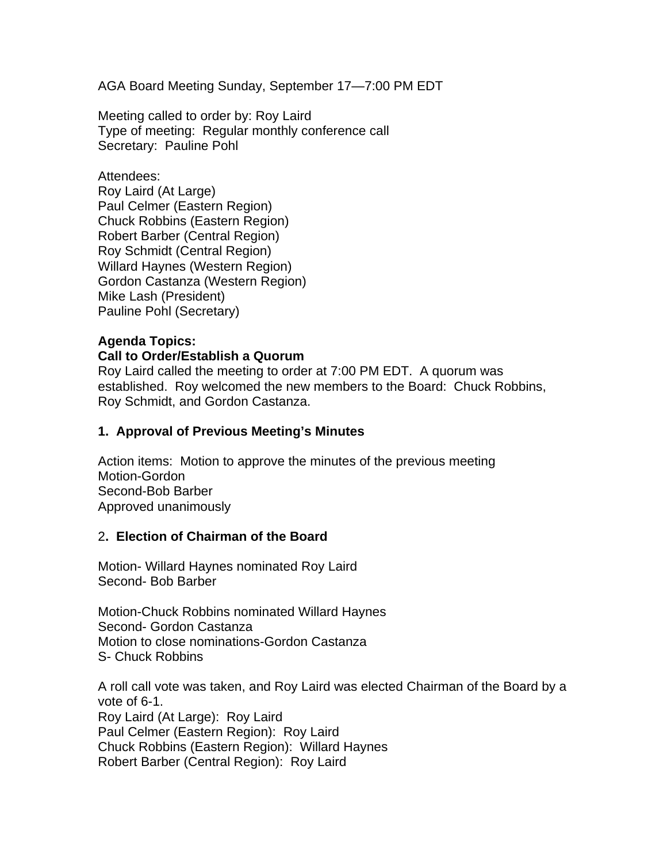AGA Board Meeting Sunday, September 17—7:00 PM EDT

Meeting called to order by: Roy Laird Type of meeting: Regular monthly conference call Secretary: Pauline Pohl

Attendees: Roy Laird (At Large) Paul Celmer (Eastern Region) Chuck Robbins (Eastern Region) Robert Barber (Central Region) Roy Schmidt (Central Region) Willard Haynes (Western Region) Gordon Castanza (Western Region) Mike Lash (President) Pauline Pohl (Secretary)

#### **Agenda Topics: Call to Order/Establish a Quorum**

Roy Laird called the meeting to order at 7:00 PM EDT. A quorum was established. Roy welcomed the new members to the Board: Chuck Robbins, Roy Schmidt, and Gordon Castanza.

#### **1. Approval of Previous Meeting's Minutes**

Action items: Motion to approve the minutes of the previous meeting Motion-Gordon Second-Bob Barber Approved unanimously

#### 2**. Election of Chairman of the Board**

Motion- Willard Haynes nominated Roy Laird Second- Bob Barber

Motion-Chuck Robbins nominated Willard Haynes Second- Gordon Castanza Motion to close nominations-Gordon Castanza S- Chuck Robbins

A roll call vote was taken, and Roy Laird was elected Chairman of the Board by a vote of 6-1. Roy Laird (At Large): Roy Laird Paul Celmer (Eastern Region): Roy Laird Chuck Robbins (Eastern Region): Willard Haynes Robert Barber (Central Region): Roy Laird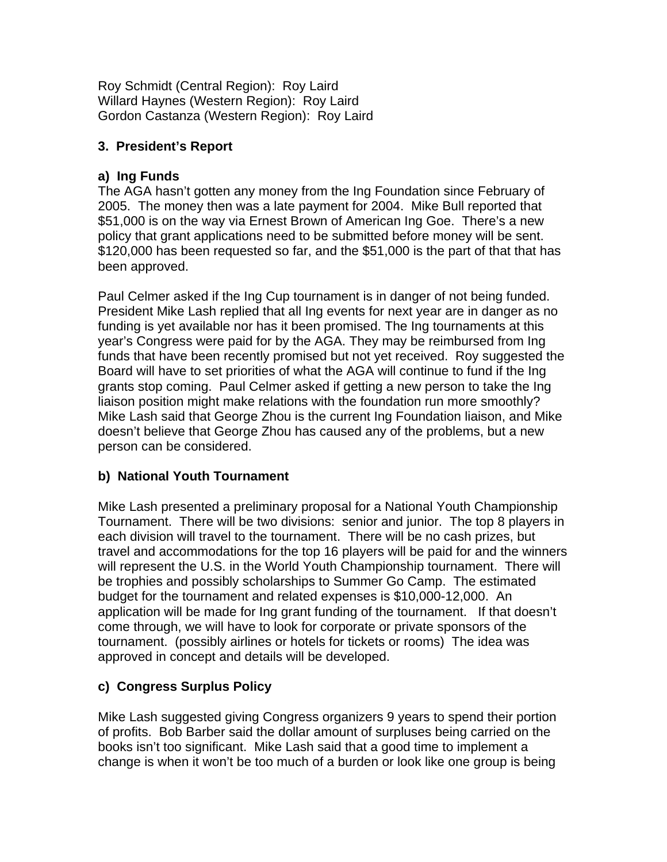Roy Schmidt (Central Region): Roy Laird Willard Haynes (Western Region): Roy Laird Gordon Castanza (Western Region): Roy Laird

# **3. President's Report**

## **a) Ing Funds**

The AGA hasn't gotten any money from the Ing Foundation since February of 2005. The money then was a late payment for 2004. Mike Bull reported that \$51,000 is on the way via Ernest Brown of American Ing Goe. There's a new policy that grant applications need to be submitted before money will be sent. \$120,000 has been requested so far, and the \$51,000 is the part of that that has been approved.

Paul Celmer asked if the Ing Cup tournament is in danger of not being funded. President Mike Lash replied that all Ing events for next year are in danger as no funding is yet available nor has it been promised. The Ing tournaments at this year's Congress were paid for by the AGA. They may be reimbursed from Ing funds that have been recently promised but not yet received. Roy suggested the Board will have to set priorities of what the AGA will continue to fund if the Ing grants stop coming. Paul Celmer asked if getting a new person to take the Ing liaison position might make relations with the foundation run more smoothly? Mike Lash said that George Zhou is the current Ing Foundation liaison, and Mike doesn't believe that George Zhou has caused any of the problems, but a new person can be considered.

# **b) National Youth Tournament**

Mike Lash presented a preliminary proposal for a National Youth Championship Tournament. There will be two divisions: senior and junior. The top 8 players in each division will travel to the tournament. There will be no cash prizes, but travel and accommodations for the top 16 players will be paid for and the winners will represent the U.S. in the World Youth Championship tournament. There will be trophies and possibly scholarships to Summer Go Camp. The estimated budget for the tournament and related expenses is \$10,000-12,000. An application will be made for Ing grant funding of the tournament. If that doesn't come through, we will have to look for corporate or private sponsors of the tournament. (possibly airlines or hotels for tickets or rooms) The idea was approved in concept and details will be developed.

# **c) Congress Surplus Policy**

Mike Lash suggested giving Congress organizers 9 years to spend their portion of profits. Bob Barber said the dollar amount of surpluses being carried on the books isn't too significant. Mike Lash said that a good time to implement a change is when it won't be too much of a burden or look like one group is being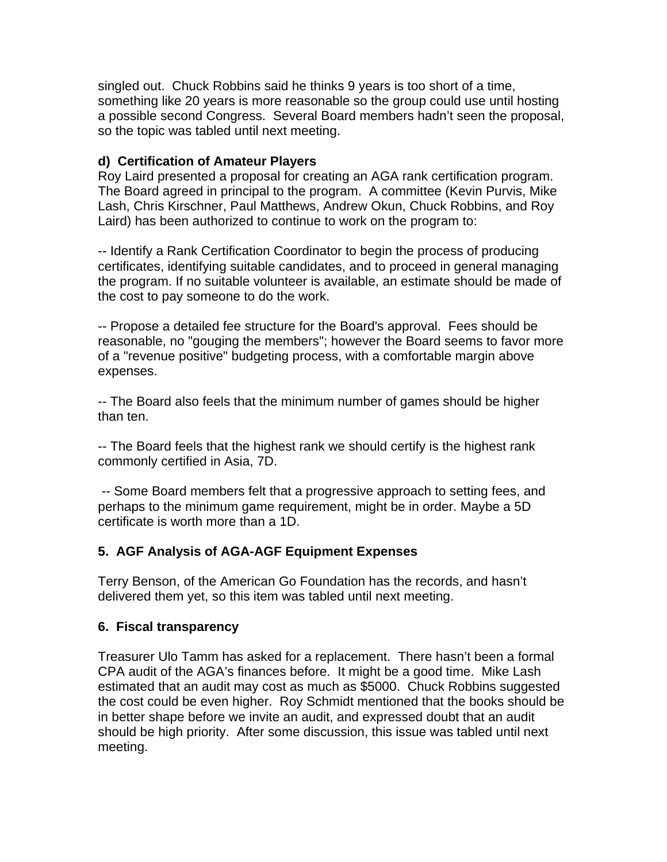singled out. Chuck Robbins said he thinks 9 years is too short of a time, something like 20 years is more reasonable so the group could use until hosting a possible second Congress. Several Board members hadn't seen the proposal, so the topic was tabled until next meeting.

#### **d) Certification of Amateur Players**

Roy Laird presented a proposal for creating an AGA rank certification program. The Board agreed in principal to the program. A committee (Kevin Purvis, Mike Lash, Chris Kirschner, Paul Matthews, Andrew Okun, Chuck Robbins, and Roy Laird) has been authorized to continue to work on the program to:

-- Identify a Rank Certification Coordinator to begin the process of producing certificates, identifying suitable candidates, and to proceed in general managing the program. If no suitable volunteer is available, an estimate should be made of the cost to pay someone to do the work.

-- Propose a detailed fee structure for the Board's approval. Fees should be reasonable, no "gouging the members"; however the Board seems to favor more of a "revenue positive" budgeting process, with a comfortable margin above expenses.

-- The Board also feels that the minimum number of games should be higher than ten.

-- The Board feels that the highest rank we should certify is the highest rank commonly certified in Asia, 7D.

 -- Some Board members felt that a progressive approach to setting fees, and perhaps to the minimum game requirement, might be in order. Maybe a 5D certificate is worth more than a 1D.

# **5. AGF Analysis of AGA-AGF Equipment Expenses**

Terry Benson, of the American Go Foundation has the records, and hasn't delivered them yet, so this item was tabled until next meeting.

#### **6. Fiscal transparency**

Treasurer Ulo Tamm has asked for a replacement. There hasn't been a formal CPA audit of the AGA's finances before. It might be a good time. Mike Lash estimated that an audit may cost as much as \$5000. Chuck Robbins suggested the cost could be even higher. Roy Schmidt mentioned that the books should be in better shape before we invite an audit, and expressed doubt that an audit should be high priority. After some discussion, this issue was tabled until next meeting.